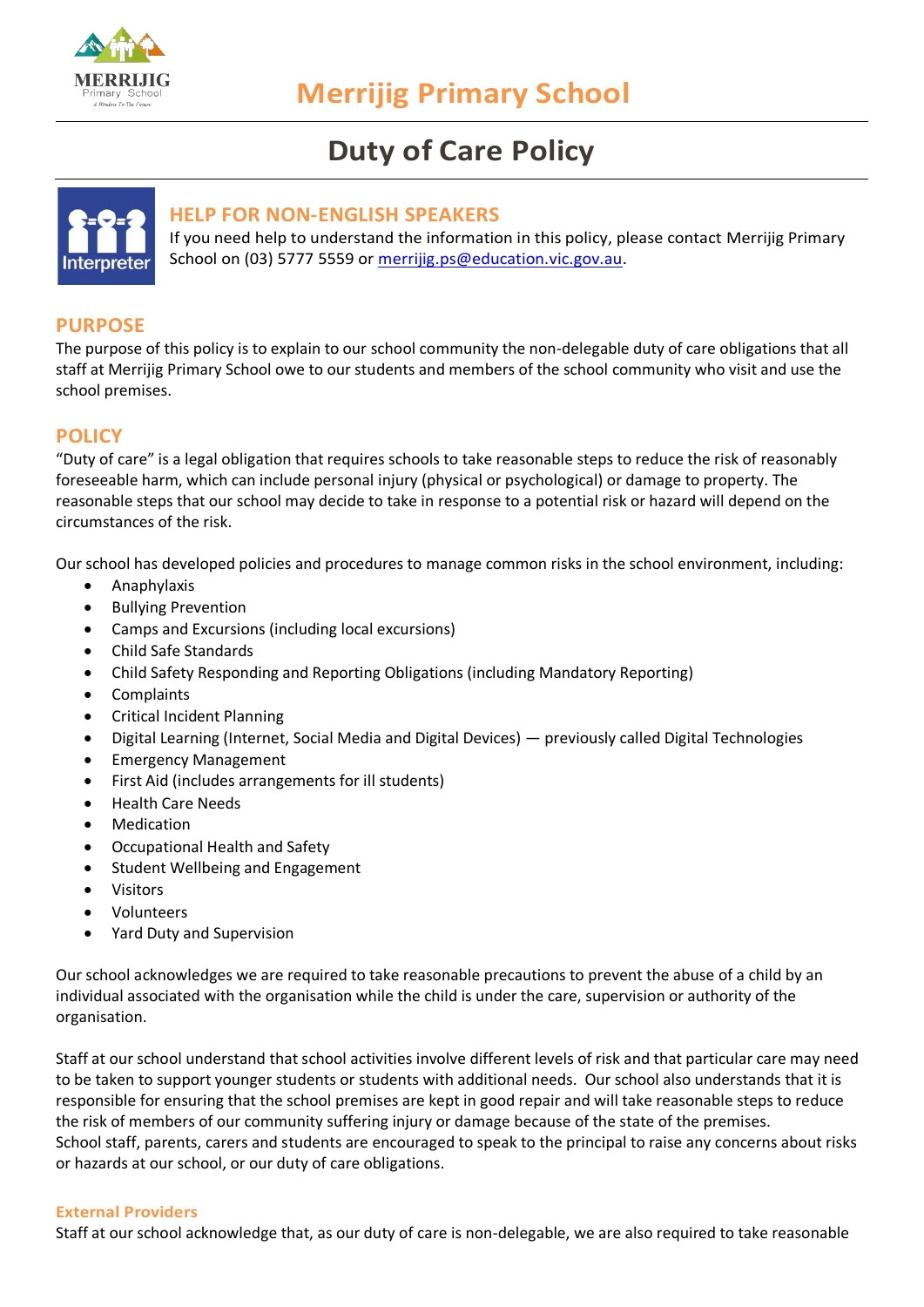

# **Duty of Care Policy**



### **HELP FOR NON-ENGLISH SPEAKERS**

If you need help to understand the information in this policy, please contact Merrijig Primary School on (03) 5777 5559 or [merrijig.ps@education.vic.gov.au.](mailto:merrijig.ps@education.vic.gov.au)

# **PURPOSE**

The purpose of this policy is to explain to our school community the non-delegable duty of care obligations that all staff at Merrijig Primary School owe to our students and members of the school community who visit and use the school premises.

# **POLICY**

"Duty of care" is a legal obligation that requires schools to take reasonable steps to reduce the risk of reasonably foreseeable harm, which can include personal injury (physical or psychological) or damage to property. The reasonable steps that our school may decide to take in response to a potential risk or hazard will depend on the circumstances of the risk.

Our school has developed policies and procedures to manage common risks in the school environment, including:

- Anaphylaxis
- Bullying Prevention
- Camps and Excursions (including local excursions)
- Child Safe Standards
- Child Safety Responding and Reporting Obligations (including Mandatory Reporting)
- Complaints
- Critical Incident Planning
- Digital Learning (Internet, Social Media and Digital Devices) previously called Digital Technologies
- Emergency Management
- First Aid (includes arrangements for ill students)
- Health Care Needs
- **Medication**
- Occupational Health and Safety
- Student Wellbeing and Engagement
- **Visitors**
- Volunteers
- Yard Duty and Supervision

Our school acknowledges we are required to take reasonable precautions to prevent the abuse of a child by an individual associated with the organisation while the child is under the care, supervision or authority of the organisation.

Staff at our school understand that school activities involve different levels of risk and that particular care may need to be taken to support younger students or students with additional needs. Our school also understands that it is responsible for ensuring that the school premises are kept in good repair and will take reasonable steps to reduce the risk of members of our community suffering injury or damage because of the state of the premises. School staff, parents, carers and students are encouraged to speak to the principal to raise any concerns about risks or hazards at our school, or our duty of care obligations.

#### **External Providers**

Staff at our school acknowledge that, as our duty of care is non-delegable, we are also required to take reasonable